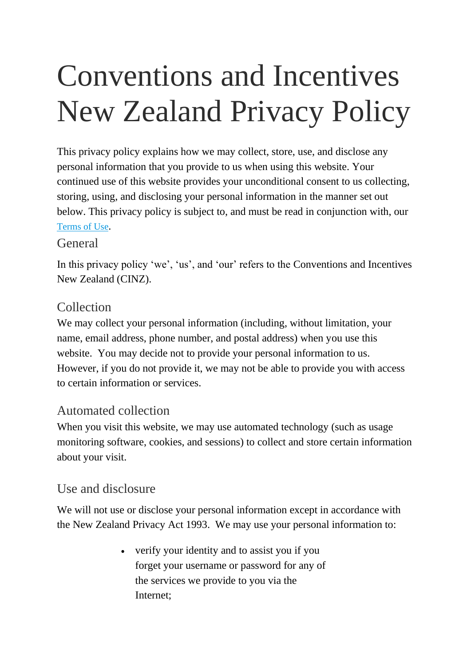# Conventions and Incentives New Zealand Privacy Policy

This privacy policy explains how we may collect, store, use, and disclose any personal information that you provide to us when using this website. Your continued use of this website provides your unconditional consent to us collecting, storing, using, and disclosing your personal information in the manner set out below. This privacy policy is subject to, and must be read in conjunction with, our [Terms](https://www.newzealand.com/ca/utilities/terms-of-use/) of Use.

#### General

In this privacy policy 'we', 'us', and 'our' refers to the Conventions and Incentives New Zealand (CINZ).

## Collection

We may collect your personal information (including, without limitation, your name, email address, phone number, and postal address) when you use this website. You may decide not to provide your personal information to us. However, if you do not provide it, we may not be able to provide you with access to certain information or services.

## Automated collection

When you visit this website, we may use automated technology (such as usage monitoring software, cookies, and sessions) to collect and store certain information about your visit.

## Use and disclosure

We will not use or disclose your personal information except in accordance with the New Zealand Privacy Act 1993. We may use your personal information to:

> verify your identity and to assist you if you forget your username or password for any of the services we provide to you via the Internet;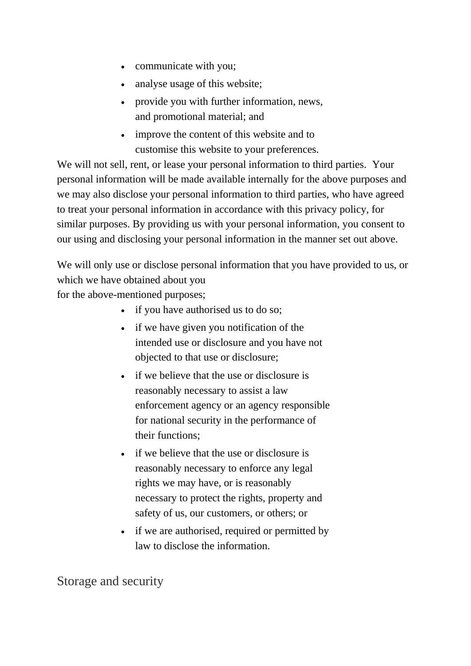- communicate with you;
- analyse usage of this website;
- provide you with further information, news, and promotional material; and
- improve the content of this website and to customise this website to your preferences.

We will not sell, rent, or lease your personal information to third parties. Your personal information will be made available internally for the above purposes and we may also disclose your personal information to third parties, who have agreed to treat your personal information in accordance with this privacy policy, for similar purposes. By providing us with your personal information, you consent to our using and disclosing your personal information in the manner set out above.

We will only use or disclose personal information that you have provided to us, or which we have obtained about you

for the above-mentioned purposes;

- if you have authorised us to do so;
- if we have given you notification of the intended use or disclosure and you have not objected to that use or disclosure;
- if we believe that the use or disclosure is reasonably necessary to assist a law enforcement agency or an agency responsible for national security in the performance of their functions;
- if we believe that the use or disclosure is reasonably necessary to enforce any legal rights we may have, or is reasonably necessary to protect the rights, property and safety of us, our customers, or others; or
- if we are authorised, required or permitted by law to disclose the information.

Storage and security